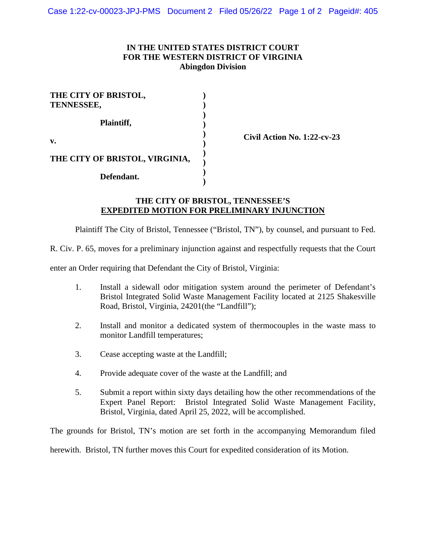## **IN THE UNITED STATES DISTRICT COURT FOR THE WESTERN DISTRICT OF VIRGINIA Abingdon Division**

| THE CITY OF BRISTOL,<br>TENNESSEE, |  |
|------------------------------------|--|
| Plaintiff,                         |  |
| v.                                 |  |
| THE CITY OF BRISTOL, VIRGINIA,     |  |
| Defendant.                         |  |

**Civil Action No. 1:22-cv-23** 

## **THE CITY OF BRISTOL, TENNESSEE'S EXPEDITED MOTION FOR PRELIMINARY INJUNCTION**

Plaintiff The City of Bristol, Tennessee ("Bristol, TN"), by counsel, and pursuant to Fed.

R. Civ. P. 65, moves for a preliminary injunction against and respectfully requests that the Court

enter an Order requiring that Defendant the City of Bristol, Virginia:

- 1. Install a sidewall odor mitigation system around the perimeter of Defendant's Bristol Integrated Solid Waste Management Facility located at 2125 Shakesville Road, Bristol, Virginia, 24201(the "Landfill");
- 2. Install and monitor a dedicated system of thermocouples in the waste mass to monitor Landfill temperatures;
- 3. Cease accepting waste at the Landfill;
- 4. Provide adequate cover of the waste at the Landfill; and
- 5. Submit a report within sixty days detailing how the other recommendations of the Expert Panel Report: Bristol Integrated Solid Waste Management Facility, Bristol, Virginia, dated April 25, 2022, will be accomplished.

The grounds for Bristol, TN's motion are set forth in the accompanying Memorandum filed

herewith. Bristol, TN further moves this Court for expedited consideration of its Motion.